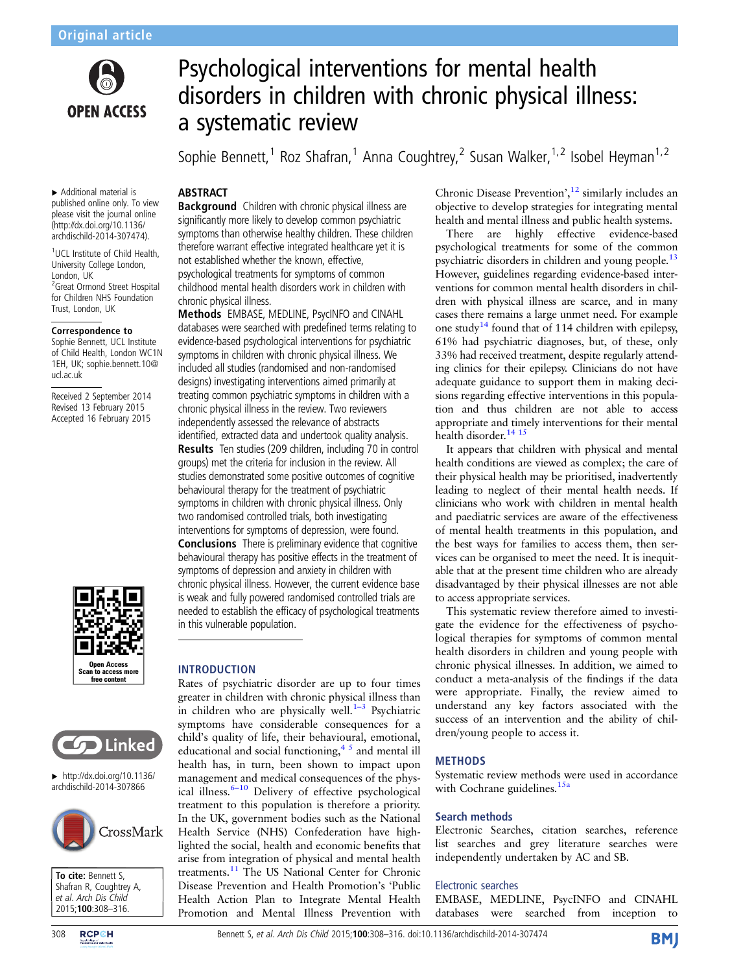

▸ Additional material is published online only. To view please visit the journal online [\(http://dx.doi.org/10.1136/](http://dx.doi.org/10.1136/archdischild-2014-307474) [archdischild-2014-307474](http://dx.doi.org/10.1136/archdischild-2014-307474)).

1 UCL Institute of Child Health, University College London, London, UK <sup>2</sup> Great Ormond Street Hospital for Children NHS Foundation Trust, London, UK

#### Correspondence to

Sophie Bennett, UCL Institute of Child Health, London WC1N 1EH, UK; sophie.bennett.10@ ucl.ac.uk

Received 2 September 2014 Revised 13 February 2015 Accepted 16 February 2015





#### $\blacktriangleright$  [http://dx.doi.org/10.1136/](http://dx.doi.org/10.1136/archdischild-2014-307866) [archdischild-2014-307866](http://dx.doi.org/10.1136/archdischild-2014-307866)



To cite: Bennett S, Shafran R, Coughtrey A, et al. Arch Dis Child 2015;100:308–316.

# Psychological interventions for mental health disorders in children with chronic physical illness: a systematic review

Sophie Bennett,<sup>1</sup> Roz Shafran,<sup>1</sup> Anna Coughtrey,<sup>2</sup> Susan Walker,<sup>1,2</sup> Isobel Heyman<sup>1,2</sup>

### **ARSTRACT**

Background Children with chronic physical illness are significantly more likely to develop common psychiatric symptoms than otherwise healthy children. These children therefore warrant effective integrated healthcare yet it is not established whether the known, effective, psychological treatments for symptoms of common childhood mental health disorders work in children with chronic physical illness.

Methods EMBASE, MEDLINE, PsycINFO and CINAHL databases were searched with predefined terms relating to evidence-based psychological interventions for psychiatric symptoms in children with chronic physical illness. We included all studies (randomised and non-randomised designs) investigating interventions aimed primarily at treating common psychiatric symptoms in children with a chronic physical illness in the review. Two reviewers independently assessed the relevance of abstracts identified, extracted data and undertook quality analysis. Results Ten studies (209 children, including 70 in control groups) met the criteria for inclusion in the review. All studies demonstrated some positive outcomes of cognitive behavioural therapy for the treatment of psychiatric symptoms in children with chronic physical illness. Only two randomised controlled trials, both investigating interventions for symptoms of depression, were found. Conclusions There is preliminary evidence that cognitive behavioural therapy has positive effects in the treatment of symptoms of depression and anxiety in children with chronic physical illness. However, the current evidence base is weak and fully powered randomised controlled trials are needed to establish the efficacy of psychological treatments

in this vulnerable population.

# INTRODUCTION

Rates of psychiatric disorder are up to four times greater in children with chronic physical illness than in children who are physically well. $1-3$  $1-3$  Psychiatric symptoms have considerable consequences for a child's quality of life, their behavioural, emotional, educational and social functioning,<sup>45</sup> and mental ill health has, in turn, been shown to impact upon management and medical consequences of the phys-ical illness.<sup>6–[10](#page-7-0)</sup> Delivery of effective psychological treatment to this population is therefore a priority. In the UK, government bodies such as the National Health Service (NHS) Confederation have highlighted the social, health and economic benefits that arise from integration of physical and mental health treatments.[11](#page-7-0) The US National Center for Chronic Disease Prevention and Health Promotion's 'Public Health Action Plan to Integrate Mental Health Promotion and Mental Illness Prevention with

Chronic Disease Prevention', [12](#page-7-0) similarly includes an objective to develop strategies for integrating mental health and mental illness and public health systems.

There are highly effective evidence-based psychological treatments for some of the common psychiatric disorders in children and young people.<sup>[13](#page-7-0)</sup> However, guidelines regarding evidence-based interventions for common mental health disorders in children with physical illness are scarce, and in many cases there remains a large unmet need. For example one study<sup>14</sup> found that of 114 children with epilepsy, 61% had psychiatric diagnoses, but, of these, only 33% had received treatment, despite regularly attending clinics for their epilepsy. Clinicians do not have adequate guidance to support them in making decisions regarding effective interventions in this population and thus children are not able to access appropriate and timely interventions for their mental health disorder.<sup>14 15</sup>

It appears that children with physical and mental health conditions are viewed as complex; the care of their physical health may be prioritised, inadvertently leading to neglect of their mental health needs. If clinicians who work with children in mental health and paediatric services are aware of the effectiveness of mental health treatments in this population, and the best ways for families to access them, then services can be organised to meet the need. It is inequitable that at the present time children who are already disadvantaged by their physical illnesses are not able to access appropriate services.

This systematic review therefore aimed to investigate the evidence for the effectiveness of psychological therapies for symptoms of common mental health disorders in children and young people with chronic physical illnesses. In addition, we aimed to conduct a meta-analysis of the findings if the data were appropriate. Finally, the review aimed to understand any key factors associated with the success of an intervention and the ability of children/young people to access it.

#### METHODS

Systematic review methods were used in accordance with Cochrane guidelines.<sup>[15a](#page-7-0)</sup>

#### Search methods

Electronic Searches, citation searches, reference list searches and grey literature searches were independently undertaken by AC and SB.

#### Electronic searches

EMBASE, MEDLINE, PsycINFO and CINAHL databases were searched from inception to

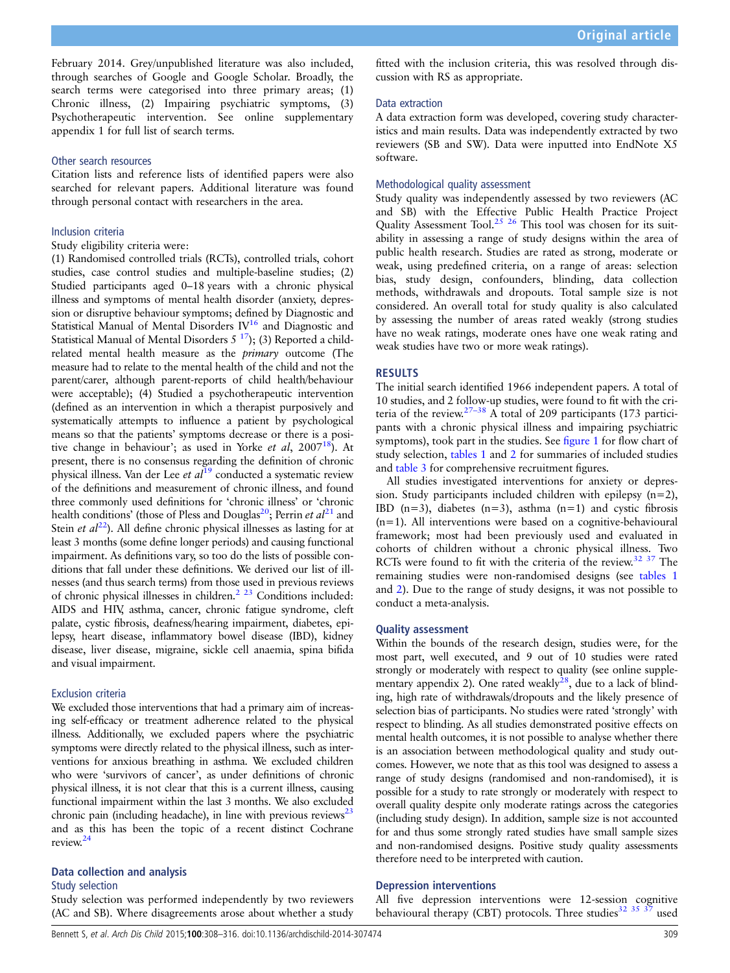February 2014. Grey/unpublished literature was also included, through searches of Google and Google Scholar. Broadly, the search terms were categorised into three primary areas; (1) Chronic illness, (2) Impairing psychiatric symptoms, (3) Psychotherapeutic intervention. See online supplementary appendix 1 for full list of search terms.

#### Other search resources

Citation lists and reference lists of identified papers were also searched for relevant papers. Additional literature was found through personal contact with researchers in the area.

#### Inclusion criteria

#### Study eligibility criteria were:

(1) Randomised controlled trials (RCTs), controlled trials, cohort studies, case control studies and multiple-baseline studies; (2) Studied participants aged 0–18 years with a chronic physical illness and symptoms of mental health disorder (anxiety, depression or disruptive behaviour symptoms; defined by Diagnostic and Statistical Manual of Mental Disorders IV<sup>16</sup> and Diagnostic and Statistical Manual of Mental Disorders  $5\frac{17}{15}$  $5\frac{17}{15}$  $5\frac{17}{15}$ ; (3) Reported a childrelated mental health measure as the primary outcome (The measure had to relate to the mental health of the child and not the parent/carer, although parent-reports of child health/behaviour were acceptable); (4) Studied a psychotherapeutic intervention (defined as an intervention in which a therapist purposively and systematically attempts to influence a patient by psychological means so that the patients' symptoms decrease or there is a positive change in behaviour'; as used in Yorke et al,  $2007^{18}$ ). At present, there is no consensus regarding the definition of chronic physical illness. Van der Lee et  $al^{19}$  $al^{19}$  $al^{19}$  conducted a systematic review of the definitions and measurement of chronic illness, and found three commonly used definitions for 'chronic illness' or 'chronic health conditions' (those of Pless and Douglas<sup>20</sup>; Perrin *et al*<sup>[21](#page-8-0)</sup> and Stein *et al*<sup>[22](#page-8-0)</sup>). All define chronic physical illnesses as lasting for at least 3 months (some define longer periods) and causing functional impairment. As definitions vary, so too do the lists of possible conditions that fall under these definitions. We derived our list of illnesses (and thus search terms) from those used in previous reviews of chronic physical illnesses in children[.2](#page-7-0) [23](#page-8-0) Conditions included: AIDS and HIV, asthma, cancer, chronic fatigue syndrome, cleft palate, cystic fibrosis, deafness/hearing impairment, diabetes, epilepsy, heart disease, inflammatory bowel disease (IBD), kidney disease, liver disease, migraine, sickle cell anaemia, spina bifida and visual impairment.

#### Exclusion criteria

We excluded those interventions that had a primary aim of increasing self-efficacy or treatment adherence related to the physical illness. Additionally, we excluded papers where the psychiatric symptoms were directly related to the physical illness, such as interventions for anxious breathing in asthma. We excluded children who were 'survivors of cancer', as under definitions of chronic physical illness, it is not clear that this is a current illness, causing functional impairment within the last 3 months. We also excluded chronic pain (including headache), in line with previous reviews $^{23}$ and as this has been the topic of a recent distinct Cochrane review[.24](#page-8-0)

# Data collection and analysis

#### Study selection

Study selection was performed independently by two reviewers (AC and SB). Where disagreements arose about whether a study

fitted with the inclusion criteria, this was resolved through discussion with RS as appropriate.

#### Data extraction

A data extraction form was developed, covering study characteristics and main results. Data was independently extracted by two reviewers (SB and SW). Data were inputted into EndNote X5 software.

#### Methodological quality assessment

Study quality was independently assessed by two reviewers (AC and SB) with the Effective Public Health Practice Project Quality Assessment Tool.<sup>[25 26](#page-8-0)</sup> This tool was chosen for its suitability in assessing a range of study designs within the area of public health research. Studies are rated as strong, moderate or weak, using predefined criteria, on a range of areas: selection bias, study design, confounders, blinding, data collection methods, withdrawals and dropouts. Total sample size is not considered. An overall total for study quality is also calculated by assessing the number of areas rated weakly (strong studies have no weak ratings, moderate ones have one weak rating and weak studies have two or more weak ratings).

#### RESULTS

The initial search identified 1966 independent papers. A total of 10 studies, and 2 follow-up studies, were found to fit with the cri-teria of the review.<sup>27–[38](#page-8-0)</sup> A total of 209 participants (173 participants with a chronic physical illness and impairing psychiatric symptoms), took part in the studies. See fi[gure 1](#page-2-0) for flow chart of study selection, [tables 1](#page-3-0) and [2](#page-4-0) for summaries of included studies and [table 3](#page-5-0) for comprehensive recruitment figures.

All studies investigated interventions for anxiety or depression. Study participants included children with epilepsy (n=2), IBD  $(n=3)$ , diabetes  $(n=3)$ , asthma  $(n=1)$  and cystic fibrosis  $(n=1)$ . All interventions were based on a cognitive-behavioural framework; most had been previously used and evaluated in cohorts of children without a chronic physical illness. Two RCTs were found to fit with the criteria of the review.[32 37](#page-8-0) The remaining studies were non-randomised designs (see [tables 1](#page-3-0) and [2\)](#page-4-0). Due to the range of study designs, it was not possible to conduct a meta-analysis.

#### Quality assessment

Within the bounds of the research design, studies were, for the most part, well executed, and 9 out of 10 studies were rated strongly or moderately with respect to quality (see online supple-mentary appendix 2). One rated weakly<sup>[28](#page-8-0)</sup>, due to a lack of blinding, high rate of withdrawals/dropouts and the likely presence of selection bias of participants. No studies were rated 'strongly' with respect to blinding. As all studies demonstrated positive effects on mental health outcomes, it is not possible to analyse whether there is an association between methodological quality and study outcomes. However, we note that as this tool was designed to assess a range of study designs (randomised and non-randomised), it is possible for a study to rate strongly or moderately with respect to overall quality despite only moderate ratings across the categories (including study design). In addition, sample size is not accounted for and thus some strongly rated studies have small sample sizes and non-randomised designs. Positive study quality assessments therefore need to be interpreted with caution.

#### Depression interventions

All five depression interventions were 12-session cognitive behavioural therapy (CBT) protocols. Three studies<sup>32 35</sup> <sup>37</sup> used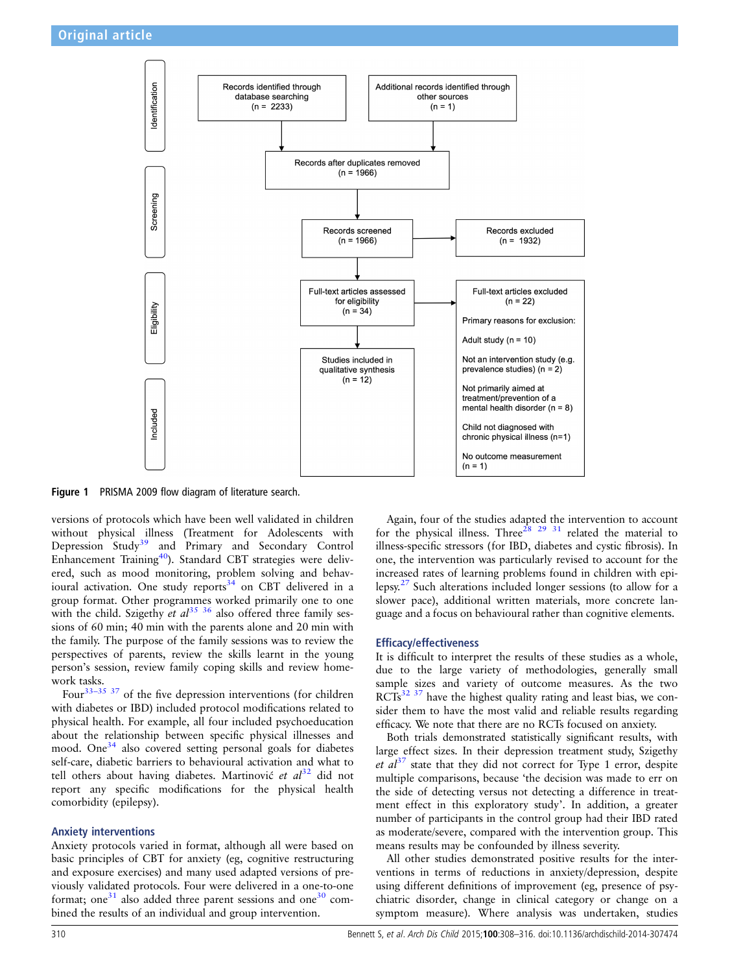<span id="page-2-0"></span>

Figure 1 PRISMA 2009 flow diagram of literature search.

versions of protocols which have been well validated in children without physical illness (Treatment for Adolescents with Depression Study<sup>[39](#page-8-0)</sup> and Primary and Secondary Control Enhancement Training<sup>40</sup>). Standard CBT strategies were delivered, such as mood monitoring, problem solving and behav-ioural activation. One study reports<sup>[34](#page-8-0)</sup> on CBT delivered in a group format. Other programmes worked primarily one to one with the child. Szigethy et  $al^{35}$  36 also offered three family sessions of 60 min; 40 min with the parents alone and 20 min with the family. The purpose of the family sessions was to review the perspectives of parents, review the skills learnt in the young person's session, review family coping skills and review homework tasks.

Four<sup>[33](#page-8-0)–35</sup> <sup>37</sup> of the five depression interventions (for children with diabetes or IBD) included protocol modifications related to physical health. For example, all four included psychoeducation about the relationship between specific physical illnesses and mood. One<sup>[34](#page-8-0)</sup> also covered setting personal goals for diabetes self-care, diabetic barriers to behavioural activation and what to tell others about having diabetes. Martinović et  $al^{32}$  $al^{32}$  $al^{32}$  did not report any specific modifications for the physical health comorbidity (epilepsy).

#### Anxiety interventions

Anxiety protocols varied in format, although all were based on basic principles of CBT for anxiety (eg, cognitive restructuring and exposure exercises) and many used adapted versions of previously validated protocols. Four were delivered in a one-to-one format; one<sup>31</sup> also added three parent sessions and one<sup>[30](#page-8-0)</sup> combined the results of an individual and group intervention.

Again, four of the studies adapted the intervention to account for the physical illness. Three<sup>28</sup> <sup>29</sup> <sup>31</sup> related the material to illness-specific stressors (for IBD, diabetes and cystic fibrosis). In one, the intervention was particularly revised to account for the increased rates of learning problems found in children with epilepsy.[27](#page-8-0) Such alterations included longer sessions (to allow for a slower pace), additional written materials, more concrete language and a focus on behavioural rather than cognitive elements.

#### Efficacy/effectiveness

It is difficult to interpret the results of these studies as a whole, due to the large variety of methodologies, generally small sample sizes and variety of outcome measures. As the two  $RCTs<sup>32</sup>$  37 have the highest quality rating and least bias, we consider them to have the most valid and reliable results regarding efficacy. We note that there are no RCTs focused on anxiety.

Both trials demonstrated statistically significant results, with large effect sizes. In their depression treatment study, Szigethy et  $al<sup>37</sup>$  $al<sup>37</sup>$  $al<sup>37</sup>$  state that they did not correct for Type 1 error, despite multiple comparisons, because 'the decision was made to err on the side of detecting versus not detecting a difference in treatment effect in this exploratory study'. In addition, a greater number of participants in the control group had their IBD rated as moderate/severe, compared with the intervention group. This means results may be confounded by illness severity.

All other studies demonstrated positive results for the interventions in terms of reductions in anxiety/depression, despite using different definitions of improvement (eg, presence of psychiatric disorder, change in clinical category or change on a symptom measure). Where analysis was undertaken, studies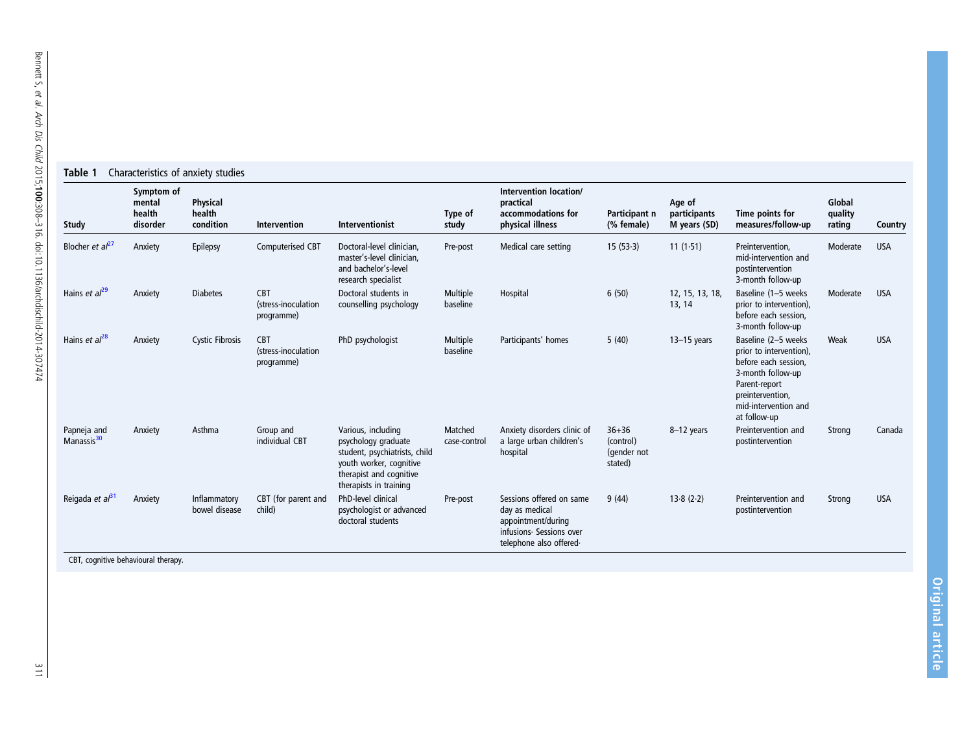<span id="page-3-0"></span>

|                             | Table 1 Characteristics                 |
|-----------------------------|-----------------------------------------|
| Study                       | Sympton<br>mental<br>health<br>disorder |
| Blocher et al <sup>27</sup> | Anxiety                                 |
| Hains et al <sup>29</sup>   | Anxiety                                 |
| Hains et al <sup>28</sup>   | Anxiety                                 |

s of anxiety studies

| Study                                 | Symptom of<br>mental<br>health<br>disorder     | Physical<br>health<br>condition | <b>Intervention</b>                      | <b>Interventionist</b>                                                                                                                                     | Type of<br>study        | Intervention location/<br>practical<br>accommodations for<br>physical illness                                          | Participant n<br>(% female)                      | Age of<br>participants<br>M years (SD) | Time points for<br>measures/follow-up                                                                                                                                     | Global<br>quality<br>rating | Country    |
|---------------------------------------|------------------------------------------------|---------------------------------|------------------------------------------|------------------------------------------------------------------------------------------------------------------------------------------------------------|-------------------------|------------------------------------------------------------------------------------------------------------------------|--------------------------------------------------|----------------------------------------|---------------------------------------------------------------------------------------------------------------------------------------------------------------------------|-----------------------------|------------|
| Blocher et $al27$                     | Anxiety                                        | Epilepsy                        | Computerised CBT                         | Doctoral-level clinician,<br>master's-level clinician,<br>and bachelor's-level<br>research specialist                                                      | Pre-post                | Medical care setting                                                                                                   | 15(53.3)                                         | 11(1.51)                               | Preintervention,<br>mid-intervention and<br>postintervention<br>3-month follow-up                                                                                         | Moderate                    | <b>USA</b> |
| Hains et $al29$                       | Anxiety                                        | <b>Diabetes</b>                 | CBT<br>(stress-inoculation<br>programme) | Doctoral students in<br>counselling psychology                                                                                                             | Multiple<br>baseline    | Hospital                                                                                                               | 6(50)                                            | 12, 15, 13, 18,<br>13, 14              | Baseline (1-5 weeks<br>prior to intervention),<br>before each session,<br>3-month follow-up                                                                               | Moderate                    | <b>USA</b> |
| Hains et $al^{28}$                    | Anxiety                                        | <b>Cystic Fibrosis</b>          | CBT<br>(stress-inoculation<br>programme) | PhD psychologist                                                                                                                                           | Multiple<br>baseline    | Participants' homes                                                                                                    | 5(40)                                            | $13-15$ years                          | Baseline (2-5 weeks)<br>prior to intervention),<br>before each session.<br>3-month follow-up<br>Parent-report<br>preintervention,<br>mid-intervention and<br>at follow-up | Weak                        | <b>USA</b> |
| Papneja and<br>Manassis <sup>30</sup> | Anxiety                                        | Asthma                          | Group and<br>individual CBT              | Various, including<br>psychology graduate<br>student, psychiatrists, child<br>youth worker, cognitive<br>therapist and cognitive<br>therapists in training | Matched<br>case-control | Anxiety disorders clinic of<br>a large urban children's<br>hospital                                                    | $36 + 36$<br>(control)<br>(gender not<br>stated) | 8-12 years                             | Preintervention and<br>postintervention                                                                                                                                   | Strong                      | Canada     |
| Reigada et al <sup>31</sup>           | Anxiety<br>CBT, cognitive behavioural therapy. | Inflammatory<br>bowel disease   | CBT (for parent and<br>child)            | PhD-level clinical<br>psychologist or advanced<br>doctoral students                                                                                        | Pre-post                | Sessions offered on same<br>day as medical<br>appointment/during<br>infusions Sessions over<br>telephone also offered- | 9(44)                                            | 13.8(2.2)                              | Preintervention and<br>postintervention                                                                                                                                   | Strong                      | <b>USA</b> |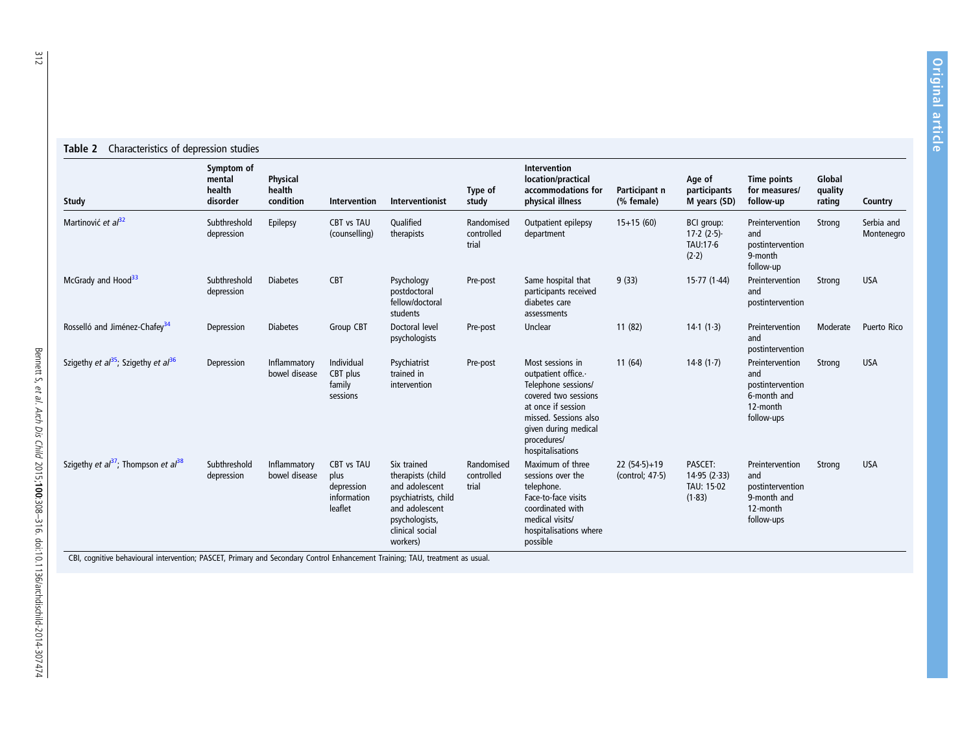#### **Study** Symptom of mental healthdisorder Physical healthcondition Intervention Interventionist Type of study Intervention location/practical accommodations for physical illness Participant <sup>n</sup> (% female) Age of participants M years (SD) Time points for measures/ follow-up Global quality rating Country Martinović et  $a<sup>32</sup>$ Subthreshold depression Epilepsy CBT vs TAU (counselling) Qualified therapists RandomisedcontrolledtrialOutpatient epilepsy department 15+15 (60) BCI group: 17·2 (2·5)· TAU:17·6  $(2.2)$ Preinterventionandpostintervention 9-monthfollow-up Strong Serbia and Montenegro McGrady and  $Hood^{33}$  $Hood^{33}$  $Hood^{33}$  Subthreshold depression Diabetes CBT Psychology postdoctoral fellow/doctoral studentsPre-post Same hospital that participants received diabetes careassessments9 (33) 15·77 (1·44) Preintervention andpostintervention Strong USA Rosselló and Jiménez-Chafey<sup>[34](#page-8-0)</sup> Depression Diabetes Group CBT Doctoral level psychologists Pre-post Unclear 11 (82) 14-1 (1-3) Preintervention andpostintervention Moderate Puerto Rico Szigethy et  $a^{35}$ : Szigethy et  $a^{36}$  $a^{36}$  $a^{36}$  Depression Inflammatory bowel diseaseIndividualCBT plus family sessionsPsychiatrist trained ininterventionPre-post Most sessions in outpatient office.· Telephone sessions/ covered two sessionsat once if session missed. Sessions also given during medical procedures/ hospitalisations 11 (64) 14·8 (1·7) Preintervention andpostintervention 6-month and12-monthfollow-ups Strong USA Szigethy et  $a^{37}$ ; Thompson et  $a^{38}$  $a^{38}$  $a^{38}$  Subthreshold depression Inflammatory bowel disease CBT vs TAUplus depression informationleaflet Six trainedtherapists (child and adolescent psychiatrists, child and adolescent psychologists, clinical social workers) Randomisedcontrolledtrial Maximum of threesessions over thetelephone. Face-to-face visitscoordinated withmedical visits/ hospitalisations where possible 22 (54·5)+19 (control; 47·5) PASCET: 14·95 (2·33) TAU: 15·02 $(1.83)$ Preinterventionandpostintervention 9-month and12-monthfollow-ups Strong USA

CBI, cognitive behavioural intervention; PASCET, Primary and Secondary Control Enhancement Training; TAU, treatment as usual.

<span id="page-4-0"></span>Table 2 Characteristics of depression studies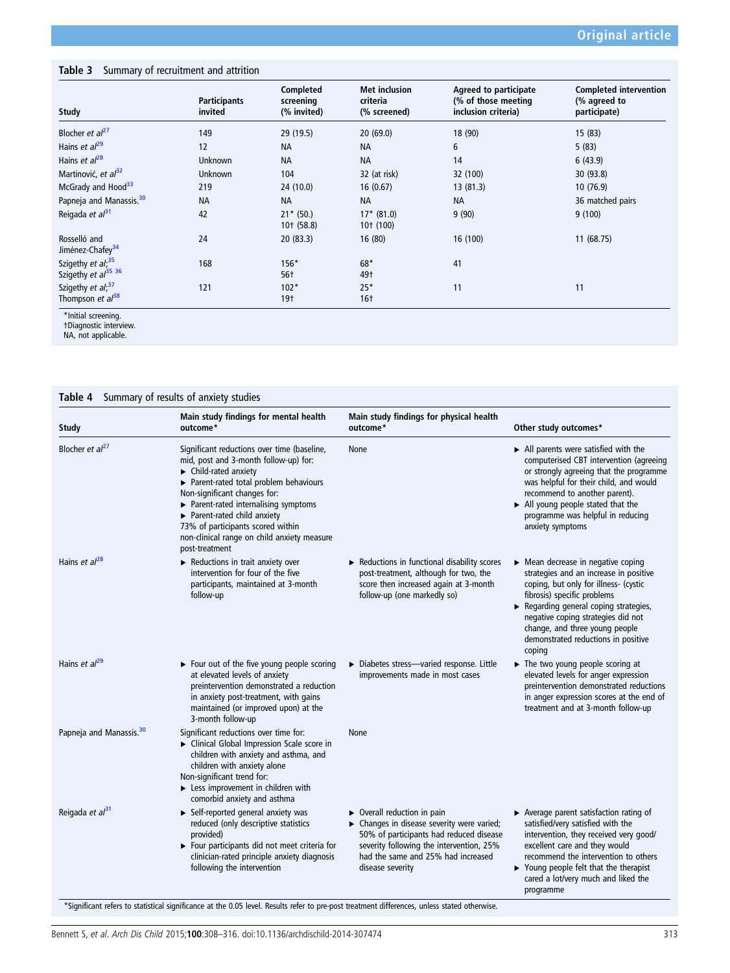# <span id="page-5-0"></span>Table 3 Summary of recruitment and attrition

| Study                                                                | <b>Participants</b><br>invited | Completed<br>screening<br>(% invited) | <b>Met inclusion</b><br>criteria<br>(% screened) | <b>Agreed to participate</b><br>(% of those meeting<br>inclusion criteria) | <b>Completed intervention</b><br>(% agreed to<br>participate) |
|----------------------------------------------------------------------|--------------------------------|---------------------------------------|--------------------------------------------------|----------------------------------------------------------------------------|---------------------------------------------------------------|
| Blocher et $al27$                                                    | 149                            | 29 (19.5)                             | 20(69.0)                                         | 18 (90)                                                                    | 15(83)                                                        |
| Hains et $a^{29}$                                                    | 12                             | <b>NA</b>                             | <b>NA</b>                                        | 6                                                                          | 5(83)                                                         |
| Hains et $al^{28}$                                                   | <b>Unknown</b>                 | <b>NA</b>                             | <b>NA</b>                                        | 14                                                                         | 6(43.9)                                                       |
| Martinović, et al <sup>32</sup>                                      | Unknown                        | 104                                   | 32 (at risk)                                     | 32 (100)                                                                   | 30 (93.8)                                                     |
| McGrady and Hood <sup>33</sup>                                       | 219                            | 24 (10.0)                             | 16(0.67)                                         | 13(81.3)                                                                   | 10(76.9)                                                      |
| Papneja and Manassis. <sup>30</sup>                                  | <b>NA</b>                      | <b>NA</b>                             | <b>NA</b>                                        | <b>NA</b>                                                                  | 36 matched pairs                                              |
| Reigada et al <sup>31</sup>                                          | 42                             | $21*$ (50.)<br>$10+$ (58.8)           | $17*$ (81.0)<br>10† (100)                        | 9(90)                                                                      | 9(100)                                                        |
| Rosselló and<br>Jiménez-Chafey <sup>34</sup>                         | 24                             | 20(83.3)                              | 16(80)                                           | 16 (100)                                                                   | 11(68.75)                                                     |
| Szigethy et al; <sup>35</sup><br>Szigethy et al <sup>35</sup> 36     | 168                            | $156*$<br>56†                         | $68*$<br>49†                                     | 41                                                                         |                                                               |
| Szigethy et al; <sup>37</sup><br>Thompson et $al^{38}$               | 121                            | $102*$<br>19 <sub>†</sub>             | $25*$<br>16†                                     | 11                                                                         | 11                                                            |
| *Initial screening.<br>+Diagnostic interview.<br>NA, not applicable. |                                |                                       |                                                  |                                                                            |                                                               |

### Table 4 Summary of results of anxiety studies

| <b>Study</b>                        | Main study findings for mental health<br>outcome*                                                                                                                                                                                                                                                                                                                                     | Main study findings for physical health<br>outcome*                                                                                                                                                                                       | Other study outcomes*                                                                                                                                                                                                                                                                                                                         |
|-------------------------------------|---------------------------------------------------------------------------------------------------------------------------------------------------------------------------------------------------------------------------------------------------------------------------------------------------------------------------------------------------------------------------------------|-------------------------------------------------------------------------------------------------------------------------------------------------------------------------------------------------------------------------------------------|-----------------------------------------------------------------------------------------------------------------------------------------------------------------------------------------------------------------------------------------------------------------------------------------------------------------------------------------------|
| Blocher et $al^{27}$                | Significant reductions over time (baseline,<br>mid, post and 3-month follow-up) for:<br>$\blacktriangleright$ Child-rated anxiety<br>Parent-rated total problem behaviours<br>Non-significant changes for:<br>Parent-rated internalising symptoms<br>Parent-rated child anxiety<br>73% of participants scored within<br>non-clinical range on child anxiety measure<br>post-treatment | <b>None</b>                                                                                                                                                                                                                               | $\blacktriangleright$ All parents were satisfied with the<br>computerised CBT intervention (agreeing<br>or strongly agreeing that the programme<br>was helpful for their child, and would<br>recommend to another parent).<br>$\blacktriangleright$ All young people stated that the<br>programme was helpful in reducing<br>anxiety symptoms |
| Hains et $al^{28}$                  | $\blacktriangleright$ Reductions in trait anxiety over<br>intervention for four of the five<br>participants, maintained at 3-month<br>follow-up                                                                                                                                                                                                                                       | Reductions in functional disability scores<br>post-treatment, although for two, the<br>score then increased again at 3-month<br>follow-up (one markedly so)                                                                               | $\triangleright$ Mean decrease in negative coping<br>strategies and an increase in positive<br>coping, but only for illness- (cystic<br>fibrosis) specific problems<br>Regarding general coping strategies,<br>negative coping strategies did not<br>change, and three young people<br>demonstrated reductions in positive<br>coping          |
| Hains et $al^{29}$                  | $\triangleright$ Four out of the five young people scoring<br>at elevated levels of anxiety<br>preintervention demonstrated a reduction<br>in anxiety post-treatment, with gains<br>maintained (or improved upon) at the<br>3-month follow-up                                                                                                                                         | Diabetes stress-varied response. Little<br>improvements made in most cases                                                                                                                                                                | $\blacktriangleright$ The two young people scoring at<br>elevated levels for anger expression<br>preintervention demonstrated reductions<br>in anger expression scores at the end of<br>treatment and at 3-month follow-up                                                                                                                    |
| Papneja and Manassis. <sup>30</sup> | Significant reductions over time for:<br>Clinical Global Impression Scale score in<br>children with anxiety and asthma, and<br>children with anxiety alone<br>Non-significant trend for:<br>Eess improvement in children with<br>comorbid anxiety and asthma                                                                                                                          | <b>None</b>                                                                                                                                                                                                                               |                                                                                                                                                                                                                                                                                                                                               |
| Reigada et $a^{31}$                 | $\triangleright$ Self-reported general anxiety was<br>reduced (only descriptive statistics<br>provided)<br>Four participants did not meet criteria for<br>clinician-rated principle anxiety diagnosis<br>following the intervention                                                                                                                                                   | $\triangleright$ Overall reduction in pain<br>> Changes in disease severity were varied;<br>50% of participants had reduced disease<br>severity following the intervention, 25%<br>had the same and 25% had increased<br>disease severity | ▶ Average parent satisfaction rating of<br>satisfied/very satisfied with the<br>intervention, they received very good/<br>excellent care and they would<br>recommend the intervention to others<br>$\triangleright$ Young people felt that the therapist<br>cared a lot/very much and liked the<br>programme                                  |

\*Significant refers to statistical significance at the 0.05 level. Results refer to pre-post treatment differences, unless stated otherwise.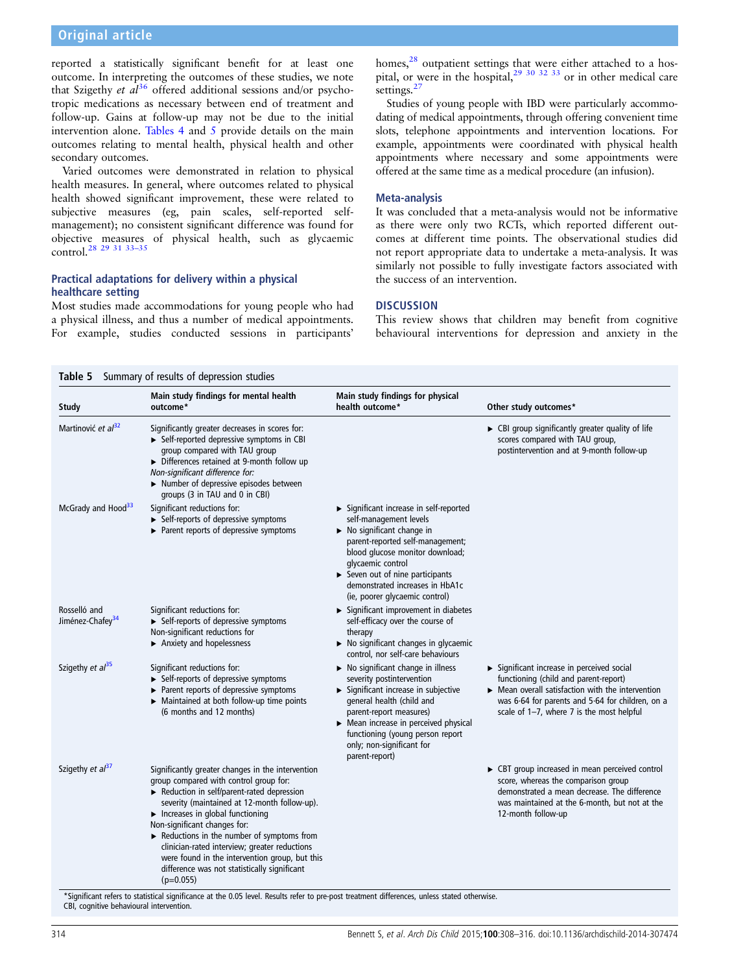reported a statistically significant benefit for at least one outcome. In interpreting the outcomes of these studies, we note that Szigethy et  $a^{36}$  $a^{36}$  $a^{36}$  offered additional sessions and/or psychotropic medications as necessary between end of treatment and follow-up. Gains at follow-up may not be due to the initial intervention alone. [Tables 4](#page-5-0) and 5 provide details on the main outcomes relating to mental health, physical health and other secondary outcomes.

Varied outcomes were demonstrated in relation to physical health measures. In general, where outcomes related to physical health showed significant improvement, these were related to subjective measures (eg, pain scales, self-reported selfmanagement); no consistent significant difference was found for objective measures of physical health, such as glycaemic control.[28 29 31 33](#page-8-0)–<sup>35</sup>

#### Practical adaptations for delivery within a physical healthcare setting

Most studies made accommodations for young people who had a physical illness, and thus a number of medical appointments. For example, studies conducted sessions in participants'

homes,<sup>[28](#page-8-0)</sup> outpatient settings that were either attached to a hos-pital, or were in the hospital,<sup>[29 30 32 33](#page-8-0)</sup> or in other medical care settings. $27$ 

Studies of young people with IBD were particularly accommodating of medical appointments, through offering convenient time slots, telephone appointments and intervention locations. For example, appointments were coordinated with physical health appointments where necessary and some appointments were offered at the same time as a medical procedure (an infusion).

#### Meta-analysis

It was concluded that a meta-analysis would not be informative as there were only two RCTs, which reported different outcomes at different time points. The observational studies did not report appropriate data to undertake a meta-analysis. It was similarly not possible to fully investigate factors associated with the success of an intervention.

## **DISCUSSION**

This review shows that children may benefit from cognitive behavioural interventions for depression and anxiety in the

| Study                                        | Main study findings for mental health<br>outcome*                                                                                                                                                                                                                                                                                                                                                                                                                                                                 | Main study findings for physical<br>health outcome*                                                                                                                                                                                                                                                                              | Other study outcomes*                                                                                                                                                                                                                                  |
|----------------------------------------------|-------------------------------------------------------------------------------------------------------------------------------------------------------------------------------------------------------------------------------------------------------------------------------------------------------------------------------------------------------------------------------------------------------------------------------------------------------------------------------------------------------------------|----------------------------------------------------------------------------------------------------------------------------------------------------------------------------------------------------------------------------------------------------------------------------------------------------------------------------------|--------------------------------------------------------------------------------------------------------------------------------------------------------------------------------------------------------------------------------------------------------|
| Martinović et $a^{32}$                       | Significantly greater decreases in scores for:<br>▶ Self-reported depressive symptoms in CBI<br>group compared with TAU group<br>Differences retained at 9-month follow up<br>Non-significant difference for:<br>$\triangleright$ Number of depressive episodes between<br>groups (3 in TAU and 0 in CBI)                                                                                                                                                                                                         |                                                                                                                                                                                                                                                                                                                                  | ► CBI group significantly greater quality of life<br>scores compared with TAU group,<br>postintervention and at 9-month follow-up                                                                                                                      |
| McGrady and Hood <sup>33</sup>               | Significant reductions for:<br>Self-reports of depressive symptoms<br>$\blacktriangleright$ Parent reports of depressive symptoms                                                                                                                                                                                                                                                                                                                                                                                 | Significant increase in self-reported<br>self-management levels<br>$\triangleright$ No significant change in<br>parent-reported self-management;<br>blood glucose monitor download;<br>glycaemic control<br>$\triangleright$ Seven out of nine participants<br>demonstrated increases in HbA1c<br>(ie, poorer glycaemic control) |                                                                                                                                                                                                                                                        |
| Rosselló and<br>Jiménez-Chafey <sup>34</sup> | Significant reductions for:<br>Self-reports of depressive symptoms<br>Non-significant reductions for<br>$\blacktriangleright$ Anxiety and hopelessness                                                                                                                                                                                                                                                                                                                                                            | Significant improvement in diabetes<br>self-efficacy over the course of<br>therapy<br>$\triangleright$ No significant changes in glycaemic<br>control, nor self-care behaviours                                                                                                                                                  |                                                                                                                                                                                                                                                        |
| Szigethy et $a^{35}$                         | Significant reductions for:<br>Self-reports of depressive symptoms<br>Parent reports of depressive symptoms<br>• Maintained at both follow-up time points<br>(6 months and 12 months)                                                                                                                                                                                                                                                                                                                             | $\triangleright$ No significant change in illness<br>severity postintervention<br>> Significant increase in subjective<br>general health (child and<br>parent-report measures)<br>• Mean increase in perceived physical<br>functioning (young person report<br>only; non-significant for<br>parent-report)                       | Significant increase in perceived social<br>functioning (child and parent-report)<br>$\triangleright$ Mean overall satisfaction with the intervention<br>was 6.64 for parents and 5.64 for children, on a<br>scale of 1-7, where 7 is the most helpful |
| Szigethy et $al37$                           | Significantly greater changes in the intervention<br>group compared with control group for:<br>Reduction in self/parent-rated depression<br>severity (maintained at 12-month follow-up).<br>$\blacktriangleright$ Increases in global functioning<br>Non-significant changes for:<br>$\triangleright$ Reductions in the number of symptoms from<br>clinician-rated interview; greater reductions<br>were found in the intervention group, but this<br>difference was not statistically significant<br>$(p=0.055)$ |                                                                                                                                                                                                                                                                                                                                  | ► CBT group increased in mean perceived control<br>score, whereas the comparison group<br>demonstrated a mean decrease. The difference<br>was maintained at the 6-month, but not at the<br>12-month follow-up                                          |

\*Significant refers to statistical significance at the 0.05 level. Results refer to pre-post treatment differences, unless stated otherwise. CBI, cognitive behavioural intervention.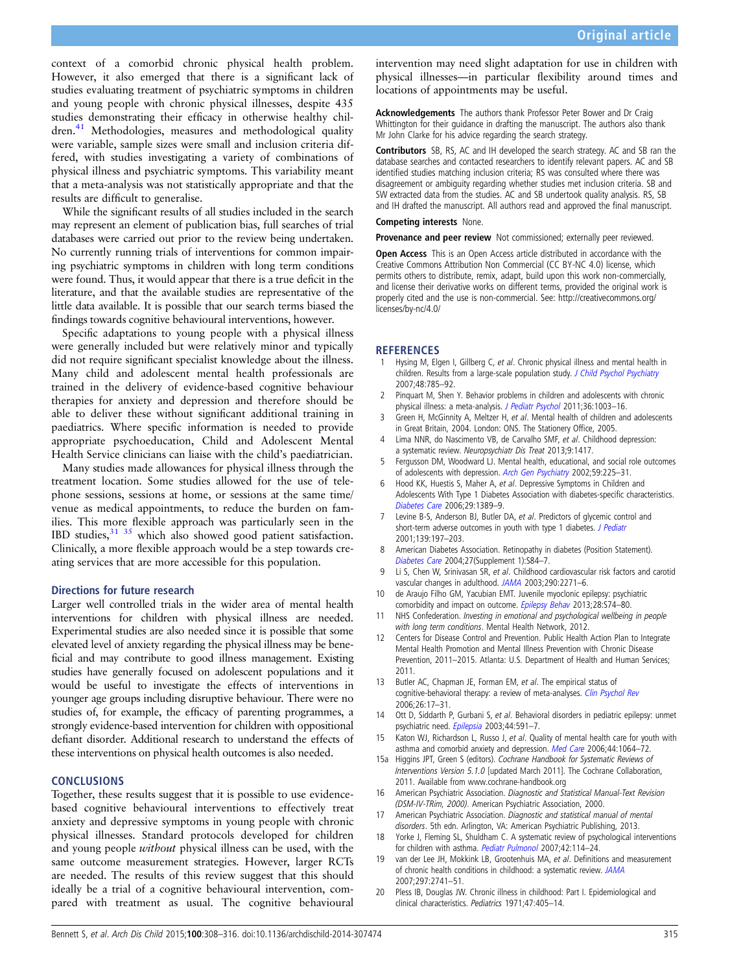<span id="page-7-0"></span>context of a comorbid chronic physical health problem. However, it also emerged that there is a significant lack of studies evaluating treatment of psychiatric symptoms in children and young people with chronic physical illnesses, despite 435 studies demonstrating their efficacy in otherwise healthy chil-dren.<sup>[41](#page-8-0)</sup> Methodologies, measures and methodological quality were variable, sample sizes were small and inclusion criteria differed, with studies investigating a variety of combinations of physical illness and psychiatric symptoms. This variability meant that a meta-analysis was not statistically appropriate and that the results are difficult to generalise.

While the significant results of all studies included in the search may represent an element of publication bias, full searches of trial databases were carried out prior to the review being undertaken. No currently running trials of interventions for common impairing psychiatric symptoms in children with long term conditions were found. Thus, it would appear that there is a true deficit in the literature, and that the available studies are representative of the little data available. It is possible that our search terms biased the findings towards cognitive behavioural interventions, however.

Specific adaptations to young people with a physical illness were generally included but were relatively minor and typically did not require significant specialist knowledge about the illness. Many child and adolescent mental health professionals are trained in the delivery of evidence-based cognitive behaviour therapies for anxiety and depression and therefore should be able to deliver these without significant additional training in paediatrics. Where specific information is needed to provide appropriate psychoeducation, Child and Adolescent Mental Health Service clinicians can liaise with the child's paediatrician.

Many studies made allowances for physical illness through the treatment location. Some studies allowed for the use of telephone sessions, sessions at home, or sessions at the same time/ venue as medical appointments, to reduce the burden on families. This more flexible approach was particularly seen in the IBD studies,<sup>[31 35](#page-8-0)</sup> which also showed good patient satisfaction. Clinically, a more flexible approach would be a step towards creating services that are more accessible for this population.

#### Directions for future research

Larger well controlled trials in the wider area of mental health interventions for children with physical illness are needed. Experimental studies are also needed since it is possible that some elevated level of anxiety regarding the physical illness may be beneficial and may contribute to good illness management. Existing studies have generally focused on adolescent populations and it would be useful to investigate the effects of interventions in younger age groups including disruptive behaviour. There were no studies of, for example, the efficacy of parenting programmes, a strongly evidence-based intervention for children with oppositional defiant disorder. Additional research to understand the effects of these interventions on physical health outcomes is also needed.

#### **CONCLUSIONS**

Together, these results suggest that it is possible to use evidencebased cognitive behavioural interventions to effectively treat anxiety and depressive symptoms in young people with chronic physical illnesses. Standard protocols developed for children and young people *without* physical illness can be used, with the same outcome measurement strategies. However, larger RCTs are needed. The results of this review suggest that this should ideally be a trial of a cognitive behavioural intervention, compared with treatment as usual. The cognitive behavioural intervention may need slight adaptation for use in children with physical illnesses—in particular flexibility around times and locations of appointments may be useful.

Acknowledgements The authors thank Professor Peter Bower and Dr Craig Whittington for their guidance in drafting the manuscript. The authors also thank Mr John Clarke for his advice regarding the search strategy.

Contributors SB, RS, AC and IH developed the search strategy. AC and SB ran the database searches and contacted researchers to identify relevant papers. AC and SB identified studies matching inclusion criteria; RS was consulted where there was disagreement or ambiguity regarding whether studies met inclusion criteria. SB and SW extracted data from the studies. AC and SB undertook quality analysis. RS, SB and IH drafted the manuscript. All authors read and approved the final manuscript.

#### Competing interests None.

**Provenance and peer review** Not commissioned: externally peer reviewed.

Open Access This is an Open Access article distributed in accordance with the Creative Commons Attribution Non Commercial (CC BY-NC 4.0) license, which permits others to distribute, remix, adapt, build upon this work non-commercially, and license their derivative works on different terms, provided the original work is properly cited and the use is non-commercial. See: [http://creativecommons.org/](http://creativecommons.org/licenses/by-nc/4.0/) [licenses/by-nc/4.0/](http://creativecommons.org/licenses/by-nc/4.0/)

#### **REFERENCES**

- Hysing M, Elgen I, Gillberg C, et al. Chronic physical illness and mental health in children. Results from a large-scale population study. [J Child Psychol Psychiatry](http://dx.doi.org/10.1111/j.1469-7610.2007.01755.x) 2007;48:785–92.
- 2 Pinquart M, Shen Y. Behavior problems in children and adolescents with chronic physical illness: a meta-analysis. [J Pediatr Psychol](http://dx.doi.org/10.1093/jpepsy/jsr042) 2011;36:1003-16.
- 3 Green H, McGinnity A, Meltzer H, et al. Mental health of children and adolescents in Great Britain, 2004. London: ONS. The Stationery Office, 2005.
- 4 Lima NNR, do Nascimento VB, de Carvalho SMF, et al. Childhood depression: a systematic review. Neuropsychiatr Dis Treat 2013;9:1417.
- 5 Fergusson DM, Woodward LJ. Mental health, educational, and social role outcomes of adolescents with depression. [Arch Gen Psychiatry](http://dx.doi.org/10.1001/archpsyc.59.3.225) 2002;59:225-31.
- Hood KK, Huestis S, Maher A, et al. Depressive Symptoms in Children and Adolescents With Type 1 Diabetes Association with diabetes-specific characteristics. [Diabetes Care](http://dx.doi.org/10.2337/dc06-0087) 2006;29:1389–9.
- 7 Levine B-S, Anderson BJ, Butler DA, et al. Predictors of glycemic control and short-term adverse outcomes in youth with type 1 diabetes. [J Pediatr](http://dx.doi.org/10.1067/mpd.2001.116283) 2001;139:197–203.
- 8 American Diabetes Association. Retinopathy in diabetes (Position Statement). [Diabetes Care](http://dx.doi.org/10.2337/diacare.27.2007.S84) 2004;27(Supplement 1):S84–7.
- 9 Li S, Chen W, Srinivasan SR, et al. Childhood cardiovascular risk factors and carotid vascular changes in adulthood. [JAMA](http://dx.doi.org/10.1001/jama.290.17.2271) 2003;290:2271-6.
- 10 de Araujo Filho GM, Yacubian EMT. Juvenile myoclonic epilepsy: psychiatric comorbidity and impact on outcome. [Epilepsy Behav](doi:10.1016/j.yebeh.2013.03.026) 2013;28:S74–80.
- 11 NHS Confederation. Investing in emotional and psychological wellbeing in people with long term conditions. Mental Health Network, 2012.
- 12 Centers for Disease Control and Prevention. Public Health Action Plan to Integrate Mental Health Promotion and Mental Illness Prevention with Chronic Disease Prevention, 2011–2015. Atlanta: U.S. Department of Health and Human Services; 2011.
- 13 Butler AC, Chapman JE, Forman EM, et al. The empirical status of cognitive-behavioral therapy: a review of meta-analyses. [Clin Psychol Rev](http://dx.doi.org/10.1016/j.cpr.2005.07.003) 2006;26:17–31.
- 14 Ott D, Siddarth P, Gurbani S, et al. Behavioral disorders in pediatric epilepsy: unmet psychiatric need. [Epilepsia](http://dx.doi.org/10.1046/j.1528-1157.2003.25002.x) 2003;44:591–7.
- 15 Katon WJ, Richardson L, Russo J, et al. Quality of mental health care for youth with asthma and comorbid anxiety and depression. [Med Care](http://dx.doi.org/10.1097/01.mlr.0000237421.17555.8f) 2006;44:1064–72.
- 15a Higgins JPT, Green S (editors). Cochrane Handbook for Systematic Reviews of Interventions Version 5.1.0 [updated March 2011]. The Cochrane Collaboration, 2011. Available from www.cochrane-handbook.org
- 16 American Psychiatric Association. Diagnostic and Statistical Manual-Text Revision (DSM-IV-TRim, 2000). American Psychiatric Association, 2000.
- 17 American Psychiatric Association. Diagnostic and statistical manual of mental disorders. 5th edn. Arlington, VA: American Psychiatric Publishing, 2013.
- 18 Yorke J, Fleming SL, Shuldham C. A systematic review of psychological interventions for children with asthma. [Pediatr Pulmonol](http://dx.doi.org/10.1002/ppul.20464) 2007;42:114–24.
- 19 van der Lee JH, Mokkink LB, Grootenhuis MA, et al. Definitions and measurement of chronic health conditions in childhood: a systematic review. [JAMA](http://dx.doi.org/10.1001/jama.297.24.2741) 2007;297:2741–51.
- 20 Pless IB, Douglas JW. Chronic illness in childhood: Part I. Epidemiological and clinical characteristics. Pediatrics 1971;47:405–14.